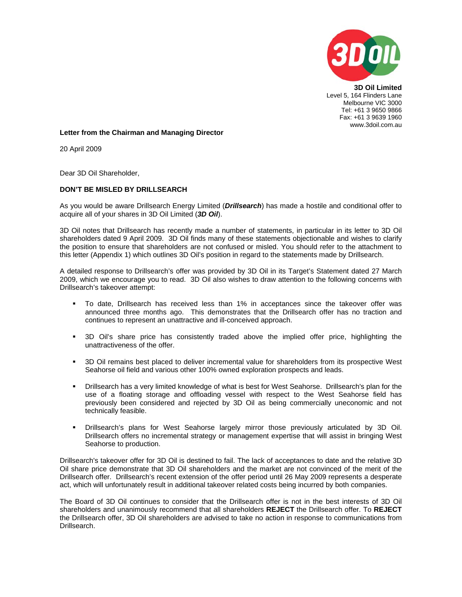

**3D Oil Limited**  Level 5, 164 Flinders Lane Melbourne VIC 3000 Tel: +61 3 9650 9866 Fax: +61 3 9639 1960 www.3doil.com.au

## **Letter from the Chairman and Managing Director**

20 April 2009

Dear 3D Oil Shareholder,

## **DON'T BE MISLED BY DRILLSEARCH**

As you would be aware Drillsearch Energy Limited (*Drillsearch*) has made a hostile and conditional offer to acquire all of your shares in 3D Oil Limited (*3D Oil*).

3D Oil notes that Drillsearch has recently made a number of statements, in particular in its letter to 3D Oil shareholders dated 9 April 2009. 3D Oil finds many of these statements objectionable and wishes to clarify the position to ensure that shareholders are not confused or misled. You should refer to the attachment to this letter (Appendix 1) which outlines 3D Oil's position in regard to the statements made by Drillsearch.

A detailed response to Drillsearch's offer was provided by 3D Oil in its Target's Statement dated 27 March 2009, which we encourage you to read. 3D Oil also wishes to draw attention to the following concerns with Drillsearch's takeover attempt:

- To date, Drillsearch has received less than 1% in acceptances since the takeover offer was announced three months ago. This demonstrates that the Drillsearch offer has no traction and continues to represent an unattractive and ill-conceived approach.
- 3D Oil's share price has consistently traded above the implied offer price, highlighting the unattractiveness of the offer.
- 3D Oil remains best placed to deliver incremental value for shareholders from its prospective West Seahorse oil field and various other 100% owned exploration prospects and leads.
- Drillsearch has a very limited knowledge of what is best for West Seahorse. Drillsearch's plan for the use of a floating storage and offloading vessel with respect to the West Seahorse field has previously been considered and rejected by 3D Oil as being commercially uneconomic and not technically feasible.
- Drillsearch's plans for West Seahorse largely mirror those previously articulated by 3D Oil. Drillsearch offers no incremental strategy or management expertise that will assist in bringing West Seahorse to production.

Drillsearch's takeover offer for 3D Oil is destined to fail. The lack of acceptances to date and the relative 3D Oil share price demonstrate that 3D Oil shareholders and the market are not convinced of the merit of the Drillsearch offer. Drillsearch's recent extension of the offer period until 26 May 2009 represents a desperate act, which will unfortunately result in additional takeover related costs being incurred by both companies.

The Board of 3D Oil continues to consider that the Drillsearch offer is not in the best interests of 3D Oil shareholders and unanimously recommend that all shareholders **REJECT** the Drillsearch offer. To **REJECT** the Drillsearch offer, 3D Oil shareholders are advised to take no action in response to communications from Drillsearch.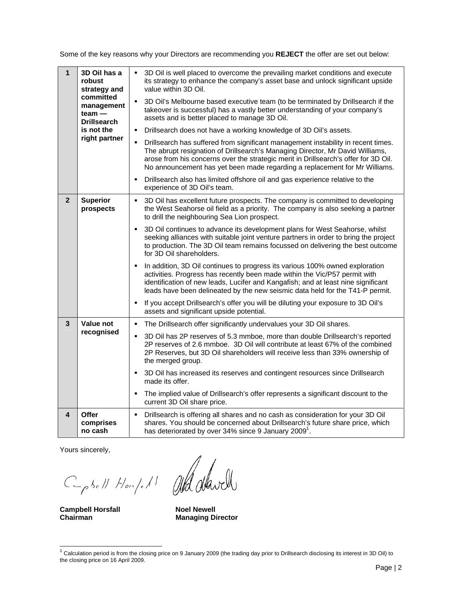Some of the key reasons why your Directors are recommending you **REJECT** the offer are set out below:

| $\mathbf{1}$   | 3D Oil has a<br>robust<br>strategy and<br>committed<br>management<br>$team -$<br><b>Drillsearch</b><br>is not the<br>right partner | 3D Oil is well placed to overcome the prevailing market conditions and execute<br>its strategy to enhance the company's asset base and unlock significant upside<br>value within 3D Oil.                                                                                                                                                     |
|----------------|------------------------------------------------------------------------------------------------------------------------------------|----------------------------------------------------------------------------------------------------------------------------------------------------------------------------------------------------------------------------------------------------------------------------------------------------------------------------------------------|
|                |                                                                                                                                    | 3D Oil's Melbourne based executive team (to be terminated by Drillsearch if the<br>٠<br>takeover is successful) has a vastly better understanding of your company's<br>assets and is better placed to manage 3D Oil.                                                                                                                         |
|                |                                                                                                                                    | Drillsearch does not have a working knowledge of 3D Oil's assets.<br>$\blacksquare$                                                                                                                                                                                                                                                          |
|                |                                                                                                                                    | Drillsearch has suffered from significant management instability in recent times.<br>٠<br>The abrupt resignation of Drillsearch's Managing Director, Mr David Williams,<br>arose from his concerns over the strategic merit in Drillsearch's offer for 3D Oil.<br>No announcement has yet been made regarding a replacement for Mr Williams. |
|                |                                                                                                                                    | Drillsearch also has limited offshore oil and gas experience relative to the<br>$\blacksquare$<br>experience of 3D Oil's team.                                                                                                                                                                                                               |
| $\overline{2}$ | <b>Superior</b><br>prospects                                                                                                       | 3D Oil has excellent future prospects. The company is committed to developing<br>٠<br>the West Seahorse oil field as a priority. The company is also seeking a partner<br>to drill the neighbouring Sea Lion prospect.                                                                                                                       |
|                |                                                                                                                                    | 3D Oil continues to advance its development plans for West Seahorse, whilst<br>$\blacksquare$<br>seeking alliances with suitable joint venture partners in order to bring the project<br>to production. The 3D Oil team remains focussed on delivering the best outcome<br>for 3D Oil shareholders.                                          |
|                |                                                                                                                                    | In addition, 3D Oil continues to progress its various 100% owned exploration<br>٠<br>activities. Progress has recently been made within the Vic/P57 permit with<br>identification of new leads, Lucifer and Kangafish; and at least nine significant<br>leads have been delineated by the new seismic data held for the T41-P permit.        |
|                |                                                                                                                                    | If you accept Drillsearch's offer you will be diluting your exposure to 3D Oil's<br>assets and significant upside potential.                                                                                                                                                                                                                 |
| 3              | Value not<br>recognised                                                                                                            | The Drillsearch offer significantly undervalues your 3D Oil shares.<br>٠                                                                                                                                                                                                                                                                     |
|                |                                                                                                                                    | 3D Oil has 2P reserves of 5.3 mmboe, more than double Drillsearch's reported<br>٠<br>2P reserves of 2.6 mmboe. 3D Oil will contribute at least 67% of the combined<br>2P Reserves, but 3D Oil shareholders will receive less than 33% ownership of<br>the merged group.                                                                      |
|                |                                                                                                                                    | 3D Oil has increased its reserves and contingent resources since Drillsearch<br>made its offer.                                                                                                                                                                                                                                              |
|                |                                                                                                                                    | The implied value of Drillsearch's offer represents a significant discount to the<br>٠<br>current 3D Oil share price.                                                                                                                                                                                                                        |
| 4              | <b>Offer</b><br>comprises<br>no cash                                                                                               | Drillsearch is offering all shares and no cash as consideration for your 3D Oil<br>٠<br>shares. You should be concerned about Drillsearch's future share price, which<br>has deteriorated by over 34% since 9 January 2009 <sup>1</sup> .                                                                                                    |

Yours sincerely,<br>C<sub>p</sub>sell Hompell attached

Campbell Horsfall **Noel Newell** 

**Chairman Managing Director** 

 1 Calculation period is from the closing price on 9 January 2009 (the trading day prior to Drillsearch disclosing its interest in 3D Oil) to the closing price on 16 April 2009.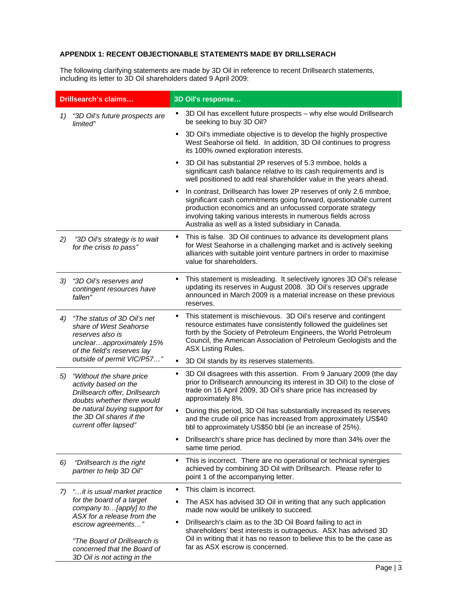## **APPENDIX 1: RECENT OBJECTIONABLE STATEMENTS MADE BY DRILLSERACH**

The following clarifying statements are made by 3D Oil in reference to recent Drillsearch statements, including its letter to 3D Oil shareholders dated 9 April 2009:

| Drillsearch's claims |                                                                                                                                      | 3D Oil's response                                                                                                                                                                                                                                                                                                         |
|----------------------|--------------------------------------------------------------------------------------------------------------------------------------|---------------------------------------------------------------------------------------------------------------------------------------------------------------------------------------------------------------------------------------------------------------------------------------------------------------------------|
| 1)<br>limited"       | "3D Oil's future prospects are                                                                                                       | 3D Oil has excellent future prospects - why else would Drillsearch<br>be seeking to buy 3D Oil?                                                                                                                                                                                                                           |
|                      |                                                                                                                                      | 3D Oil's immediate objective is to develop the highly prospective<br>West Seahorse oil field. In addition, 3D Oil continues to progress<br>its 100% owned exploration interests.                                                                                                                                          |
|                      |                                                                                                                                      | 3D Oil has substantial 2P reserves of 5.3 mmboe, holds a<br>٠<br>significant cash balance relative to its cash requirements and is<br>well positioned to add real shareholder value in the years ahead.                                                                                                                   |
|                      |                                                                                                                                      | In contrast, Drillsearch has lower 2P reserves of only 2.6 mmboe,<br>significant cash commitments going forward, questionable current<br>production economics and an unfocussed corporate strategy<br>involving taking various interests in numerous fields across<br>Australia as well as a listed subsidiary in Canada. |
| 2)                   | "3D Oil's strategy is to wait<br>for the crisis to pass"                                                                             | This is false. 3D Oil continues to advance its development plans<br>for West Seahorse in a challenging market and is actively seeking<br>alliances with suitable joint venture partners in order to maximise<br>value for shareholders.                                                                                   |
| 3)<br>fallen"        | "3D Oil's reserves and<br>contingent resources have                                                                                  | This statement is misleading. It selectively ignores 3D Oil's release<br>updating its reserves in August 2008. 3D Oil's reserves upgrade<br>announced in March 2009 is a material increase on these previous<br>reserves.                                                                                                 |
| 4)                   | "The status of 3D Oil's net<br>share of West Seahorse<br>reserves also is<br>unclearapproximately 15%<br>of the field's reserves lay | This statement is mischievous. 3D Oil's reserve and contingent<br>٠<br>resource estimates have consistently followed the guidelines set<br>forth by the Society of Petroleum Engineers, the World Petroleum<br>Council, the American Association of Petroleum Geologists and the<br><b>ASX Listing Rules.</b>             |
|                      | outside of permit VIC/P57"                                                                                                           | 3D Oil stands by its reserves statements.<br>٠                                                                                                                                                                                                                                                                            |
| 5)                   | "Without the share price<br>activity based on the<br>Drillsearch offer, Drillsearch<br>doubts whether there would                    | 3D Oil disagrees with this assertion. From 9 January 2009 (the day<br>٠<br>prior to Drillsearch announcing its interest in 3D Oil) to the close of<br>trade on 16 April 2009, 3D Oil's share price has increased by<br>approximately 8%.                                                                                  |
|                      | be natural buying support for<br>the 3D Oil shares if the<br>current offer lapsed"                                                   | During this period, 3D Oil has substantially increased its reserves<br>and the crude oil price has increased from approximately US\$40<br>bbl to approximately US\$50 bbl (ie an increase of 25%).                                                                                                                        |
|                      |                                                                                                                                      | Drillsearch's share price has declined by more than 34% over the<br>same time period.                                                                                                                                                                                                                                     |
| 6)                   | "Drillsearch is the right<br>partner to help 3D Oil"                                                                                 | This is incorrect. There are no operational or technical synergies<br>٠<br>achieved by combining 3D Oil with Drillsearch. Please refer to<br>point 1 of the accompanying letter.                                                                                                                                          |
| 7)                   | "it is usual market practice                                                                                                         | This claim is incorrect.                                                                                                                                                                                                                                                                                                  |
|                      | for the board of a target<br>company to[apply] to the                                                                                | The ASX has advised 3D Oil in writing that any such application<br>made now would be unlikely to succeed.                                                                                                                                                                                                                 |
|                      | ASX for a release from the<br>escrow agreements"<br>"The Board of Drillsearch is<br>concerned that the Board of                      | Drillsearch's claim as to the 3D Oil Board failing to act in<br>shareholders' best interests is outrageous. ASX has advised 3D<br>Oil in writing that it has no reason to believe this to be the case as<br>far as ASX escrow is concerned.                                                                               |
|                      | 3D Oil is not acting in the                                                                                                          |                                                                                                                                                                                                                                                                                                                           |